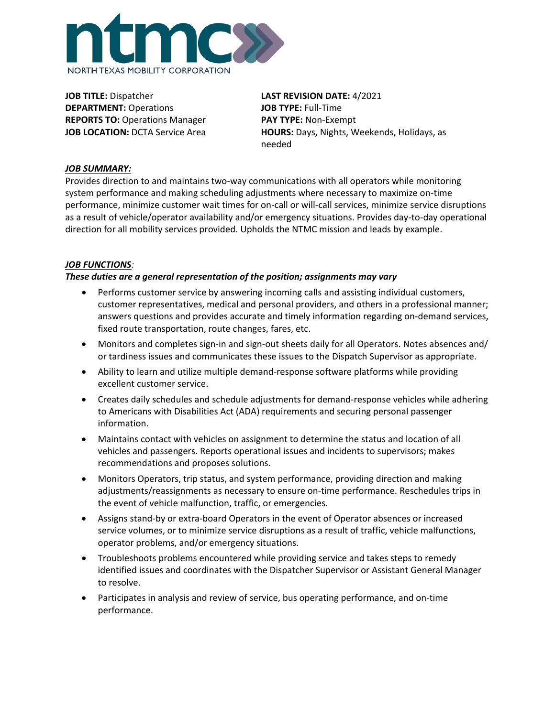

**JOB TITLE:** Dispatcher **DEPARTMENT:** Operations **REPORTS TO:** Operations Manager **JOB LOCATION:** DCTA Service Area **LAST REVISION DATE:** 4/2021 **JOB TYPE:** Full-Time **PAY TYPE:** Non-Exempt **HOURS:** Days, Nights, Weekends, Holidays, as needed

# *JOB SUMMARY:*

Provides direction to and maintains two-way communications with all operators while monitoring system performance and making scheduling adjustments where necessary to maximize on-time performance, minimize customer wait times for on-call or will-call services, minimize service disruptions as a result of vehicle/operator availability and/or emergency situations. Provides day-to-day operational direction for all mobility services provided. Upholds the NTMC mission and leads by example.

### *JOB FUNCTIONS:*

# *These duties are a general representation of the position; assignments may vary*

- Performs customer service by answering incoming calls and assisting individual customers, customer representatives, medical and personal providers, and others in a professional manner; answers questions and provides accurate and timely information regarding on-demand services, fixed route transportation, route changes, fares, etc.
- Monitors and completes sign-in and sign-out sheets daily for all Operators. Notes absences and/ or tardiness issues and communicates these issues to the Dispatch Supervisor as appropriate.
- Ability to learn and utilize multiple demand-response software platforms while providing excellent customer service.
- Creates daily schedules and schedule adjustments for demand-response vehicles while adhering to Americans with Disabilities Act (ADA) requirements and securing personal passenger information.
- Maintains contact with vehicles on assignment to determine the status and location of all vehicles and passengers. Reports operational issues and incidents to supervisors; makes recommendations and proposes solutions.
- Monitors Operators, trip status, and system performance, providing direction and making adjustments/reassignments as necessary to ensure on-time performance. Reschedules trips in the event of vehicle malfunction, traffic, or emergencies.
- Assigns stand-by or extra-board Operators in the event of Operator absences or increased service volumes, or to minimize service disruptions as a result of traffic, vehicle malfunctions, operator problems, and/or emergency situations.
- Troubleshoots problems encountered while providing service and takes steps to remedy identified issues and coordinates with the Dispatcher Supervisor or Assistant General Manager to resolve.
- Participates in analysis and review of service, bus operating performance, and on-time performance.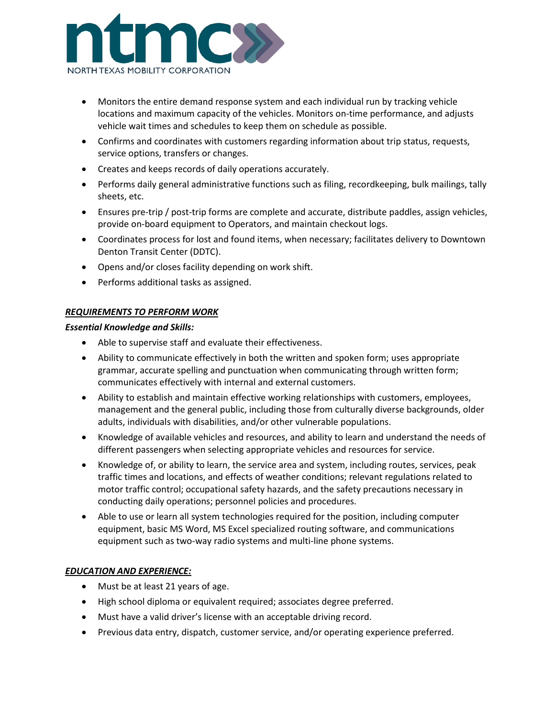

- Monitors the entire demand response system and each individual run by tracking vehicle locations and maximum capacity of the vehicles. Monitors on-time performance, and adjusts vehicle wait times and schedules to keep them on schedule as possible.
- Confirms and coordinates with customers regarding information about trip status, requests, service options, transfers or changes.
- Creates and keeps records of daily operations accurately.
- Performs daily general administrative functions such as filing, recordkeeping, bulk mailings, tally sheets, etc.
- Ensures pre-trip / post-trip forms are complete and accurate, distribute paddles, assign vehicles, provide on-board equipment to Operators, and maintain checkout logs.
- Coordinates process for lost and found items, when necessary; facilitates delivery to Downtown Denton Transit Center (DDTC).
- Opens and/or closes facility depending on work shift.
- Performs additional tasks as assigned.

### *REQUIREMENTS TO PERFORM WORK*

#### *Essential Knowledge and Skills:*

- Able to supervise staff and evaluate their effectiveness.
- Ability to communicate effectively in both the written and spoken form; uses appropriate grammar, accurate spelling and punctuation when communicating through written form; communicates effectively with internal and external customers.
- Ability to establish and maintain effective working relationships with customers, employees, management and the general public, including those from culturally diverse backgrounds, older adults, individuals with disabilities, and/or other vulnerable populations.
- Knowledge of available vehicles and resources, and ability to learn and understand the needs of different passengers when selecting appropriate vehicles and resources for service.
- Knowledge of, or ability to learn, the service area and system, including routes, services, peak traffic times and locations, and effects of weather conditions; relevant regulations related to motor traffic control; occupational safety hazards, and the safety precautions necessary in conducting daily operations; personnel policies and procedures.
- Able to use or learn all system technologies required for the position, including computer equipment, basic MS Word, MS Excel specialized routing software, and communications equipment such as two-way radio systems and multi-line phone systems.

### *EDUCATION AND EXPERIENCE:*

- Must be at least 21 years of age.
- High school diploma or equivalent required; associates degree preferred.
- Must have a valid driver's license with an acceptable driving record.
- Previous data entry, dispatch, customer service, and/or operating experience preferred.